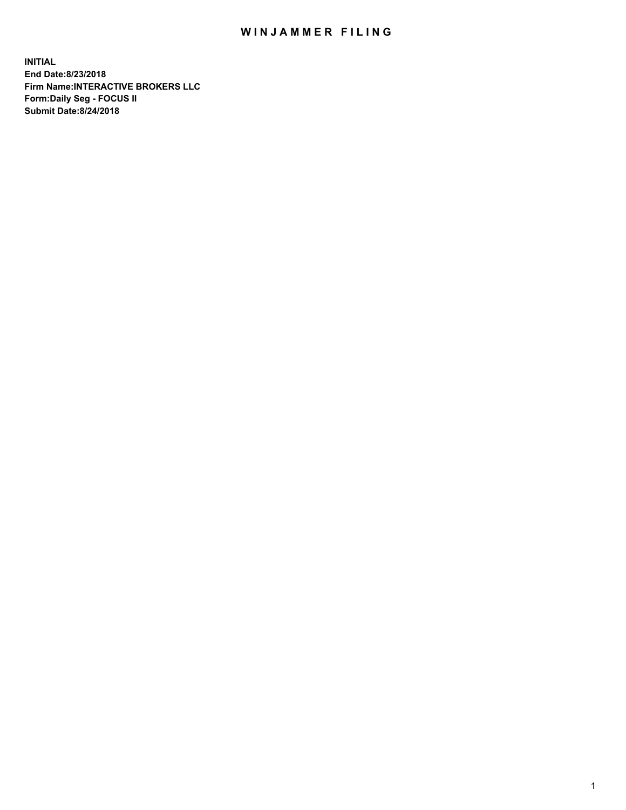## WIN JAMMER FILING

**INITIAL End Date:8/23/2018 Firm Name:INTERACTIVE BROKERS LLC Form:Daily Seg - FOCUS II Submit Date:8/24/2018**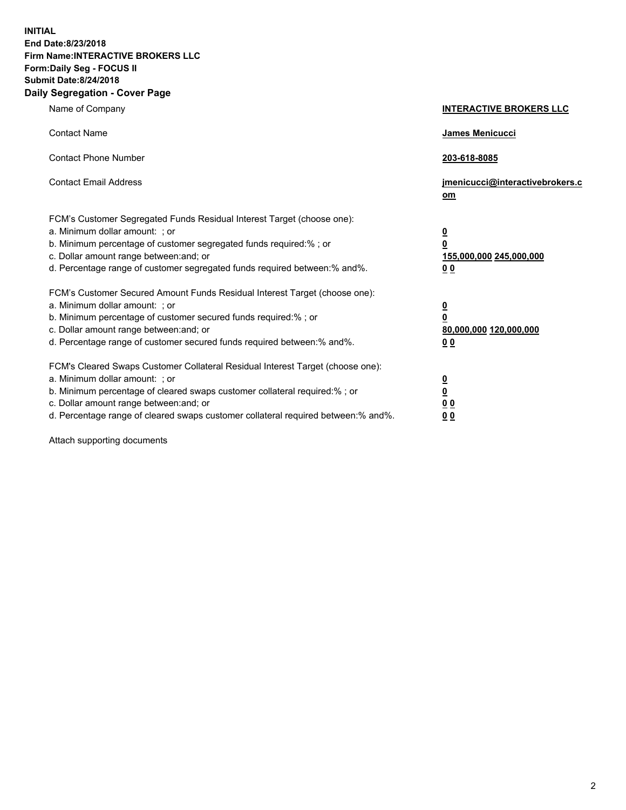**INITIAL End Date:8/23/2018 Firm Name:INTERACTIVE BROKERS LLC Form:Daily Seg - FOCUS II Submit Date:8/24/2018 Daily Segregation - Cover Page**

| Name of Company                                                                                                                                                                                                                                                                                                                | <b>INTERACTIVE BROKERS LLC</b>                                                                  |
|--------------------------------------------------------------------------------------------------------------------------------------------------------------------------------------------------------------------------------------------------------------------------------------------------------------------------------|-------------------------------------------------------------------------------------------------|
| <b>Contact Name</b>                                                                                                                                                                                                                                                                                                            | James Menicucci                                                                                 |
| <b>Contact Phone Number</b>                                                                                                                                                                                                                                                                                                    | 203-618-8085                                                                                    |
| <b>Contact Email Address</b>                                                                                                                                                                                                                                                                                                   | jmenicucci@interactivebrokers.c<br>om                                                           |
| FCM's Customer Segregated Funds Residual Interest Target (choose one):<br>a. Minimum dollar amount: ; or<br>b. Minimum percentage of customer segregated funds required:% ; or<br>c. Dollar amount range between: and; or<br>d. Percentage range of customer segregated funds required between:% and%.                         | $\overline{\mathbf{0}}$<br>$\overline{\mathbf{0}}$<br>155,000,000 245,000,000<br>0 <sub>0</sub> |
| FCM's Customer Secured Amount Funds Residual Interest Target (choose one):<br>a. Minimum dollar amount: ; or<br>b. Minimum percentage of customer secured funds required:% ; or<br>c. Dollar amount range between: and; or<br>d. Percentage range of customer secured funds required between:% and%.                           | $\overline{\mathbf{0}}$<br>0<br>80,000,000 120,000,000<br>0 <sub>0</sub>                        |
| FCM's Cleared Swaps Customer Collateral Residual Interest Target (choose one):<br>a. Minimum dollar amount: ; or<br>b. Minimum percentage of cleared swaps customer collateral required:% ; or<br>c. Dollar amount range between: and; or<br>d. Percentage range of cleared swaps customer collateral required between:% and%. | $\overline{\mathbf{0}}$<br><u>0</u><br>$\underline{0}$ $\underline{0}$<br>00                    |

Attach supporting documents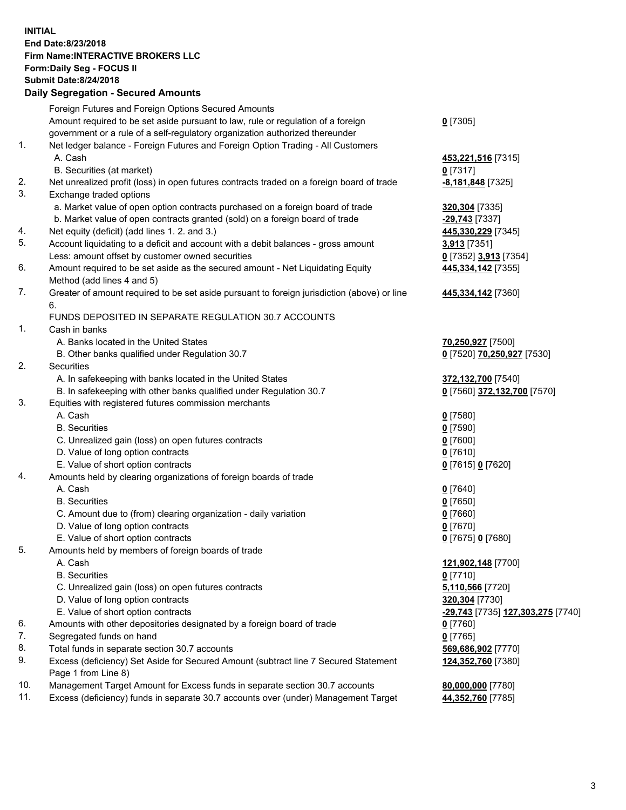## **INITIAL End Date:8/23/2018 Firm Name:INTERACTIVE BROKERS LLC Form:Daily Seg - FOCUS II Submit Date:8/24/2018 Daily Segregation - Secured Amounts**

|     | Daily Segregation - Secured Alliounts                                                                                       |                                                                 |
|-----|-----------------------------------------------------------------------------------------------------------------------------|-----------------------------------------------------------------|
|     | Foreign Futures and Foreign Options Secured Amounts                                                                         |                                                                 |
|     | Amount required to be set aside pursuant to law, rule or regulation of a foreign                                            | $0$ [7305]                                                      |
|     | government or a rule of a self-regulatory organization authorized thereunder                                                |                                                                 |
| 1.  | Net ledger balance - Foreign Futures and Foreign Option Trading - All Customers                                             |                                                                 |
|     | A. Cash                                                                                                                     | 453,221,516 [7315]                                              |
|     | B. Securities (at market)                                                                                                   | $0$ [7317]                                                      |
| 2.  | Net unrealized profit (loss) in open futures contracts traded on a foreign board of trade                                   | -8,181,848 [7325]                                               |
| 3.  | Exchange traded options                                                                                                     |                                                                 |
|     | a. Market value of open option contracts purchased on a foreign board of trade                                              | 320,304 [7335]                                                  |
|     | b. Market value of open contracts granted (sold) on a foreign board of trade                                                | -29,743 [7337]                                                  |
| 4.  | Net equity (deficit) (add lines 1. 2. and 3.)                                                                               | 445,330,229 [7345]                                              |
| 5.  | Account liquidating to a deficit and account with a debit balances - gross amount                                           | 3,913 [7351]                                                    |
|     | Less: amount offset by customer owned securities                                                                            | 0 [7352] 3,913 [7354]                                           |
| 6.  | Amount required to be set aside as the secured amount - Net Liquidating Equity                                              | 445,334,142 [7355]                                              |
|     | Method (add lines 4 and 5)                                                                                                  |                                                                 |
| 7.  | Greater of amount required to be set aside pursuant to foreign jurisdiction (above) or line                                 | 445,334,142 <sub>[7360]</sub>                                   |
|     | 6.                                                                                                                          |                                                                 |
|     | FUNDS DEPOSITED IN SEPARATE REGULATION 30.7 ACCOUNTS                                                                        |                                                                 |
| 1.  | Cash in banks                                                                                                               |                                                                 |
|     | A. Banks located in the United States                                                                                       | 70,250,927 [7500]                                               |
|     | B. Other banks qualified under Regulation 30.7                                                                              | 0 [7520] 70,250,927 [7530]                                      |
| 2.  | Securities                                                                                                                  |                                                                 |
|     | A. In safekeeping with banks located in the United States                                                                   | 372,132,700 [7540]<br>0 [7560] 372,132,700 [7570]               |
| 3.  | B. In safekeeping with other banks qualified under Regulation 30.7<br>Equities with registered futures commission merchants |                                                                 |
|     | A. Cash                                                                                                                     |                                                                 |
|     | <b>B.</b> Securities                                                                                                        | $0$ [7580]<br>$0$ [7590]                                        |
|     | C. Unrealized gain (loss) on open futures contracts                                                                         | $0$ [7600]                                                      |
|     | D. Value of long option contracts                                                                                           | $0$ [7610]                                                      |
|     | E. Value of short option contracts                                                                                          | 0 [7615] 0 [7620]                                               |
| 4.  | Amounts held by clearing organizations of foreign boards of trade                                                           |                                                                 |
|     | A. Cash                                                                                                                     | $0$ [7640]                                                      |
|     | <b>B.</b> Securities                                                                                                        | $0$ [7650]                                                      |
|     | C. Amount due to (from) clearing organization - daily variation                                                             | $0$ [7660]                                                      |
|     | D. Value of long option contracts                                                                                           | $0$ [7670]                                                      |
|     | E. Value of short option contracts                                                                                          | 0 [7675] 0 [7680]                                               |
| 5.  | Amounts held by members of foreign boards of trade                                                                          |                                                                 |
|     | A. Cash                                                                                                                     | 121,902,148 [7700]                                              |
|     | <b>B.</b> Securities                                                                                                        | $0$ [7710]                                                      |
|     | C. Unrealized gain (loss) on open futures contracts                                                                         | 5,110,566 [7720]                                                |
|     | D. Value of long option contracts                                                                                           | 320,304 [7730]                                                  |
|     | E. Value of short option contracts                                                                                          | <u>-<b>29,743</b> [</u> 7735] <u><b>127,303,275</b> [</u> 7740] |
| 6.  | Amounts with other depositories designated by a foreign board of trade                                                      | 0 [7760]                                                        |
| 7.  | Segregated funds on hand                                                                                                    | $0$ [7765]                                                      |
| 8.  | Total funds in separate section 30.7 accounts                                                                               | 569,686,902 [7770]                                              |
| 9.  | Excess (deficiency) Set Aside for Secured Amount (subtract line 7 Secured Statement                                         | 124,352,760 [7380]                                              |
|     | Page 1 from Line 8)                                                                                                         |                                                                 |
| 10. | Management Target Amount for Excess funds in separate section 30.7 accounts                                                 | 80,000,000 [7780]                                               |
| 11. | Excess (deficiency) funds in separate 30.7 accounts over (under) Management Target                                          | 44,352,760 [7785]                                               |
|     |                                                                                                                             |                                                                 |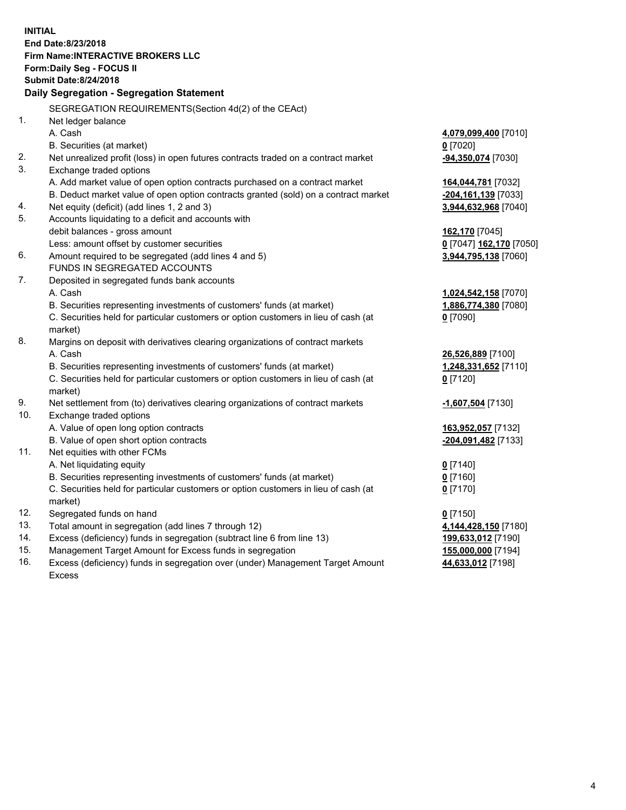**INITIAL End Date:8/23/2018 Firm Name:INTERACTIVE BROKERS LLC Form:Daily Seg - FOCUS II Submit Date:8/24/2018 Daily Segregation - Segregation Statement** SEGREGATION REQUIREMENTS(Section 4d(2) of the CEAct) 1. Net ledger balance A. Cash **4,079,099,400** [7010] B. Securities (at market) **0** [7020] 2. Net unrealized profit (loss) in open futures contracts traded on a contract market **-94,350,074** [7030] 3. Exchange traded options A. Add market value of open option contracts purchased on a contract market **164,044,781** [7032] B. Deduct market value of open option contracts granted (sold) on a contract market **-204,161,139** [7033] 4. Net equity (deficit) (add lines 1, 2 and 3) **3,944,632,968** [7040] 5. Accounts liquidating to a deficit and accounts with debit balances - gross amount **162,170** [7045] Less: amount offset by customer securities **0** [7047] **162,170** [7050] 6. Amount required to be segregated (add lines 4 and 5) **3,944,795,138** [7060] FUNDS IN SEGREGATED ACCOUNTS 7. Deposited in segregated funds bank accounts A. Cash **1,024,542,158** [7070] B. Securities representing investments of customers' funds (at market) **1,886,774,380** [7080] C. Securities held for particular customers or option customers in lieu of cash (at market) **0** [7090] 8. Margins on deposit with derivatives clearing organizations of contract markets A. Cash **26,526,889** [7100] B. Securities representing investments of customers' funds (at market) **1,248,331,652** [7110] C. Securities held for particular customers or option customers in lieu of cash (at market) **0** [7120] 9. Net settlement from (to) derivatives clearing organizations of contract markets **-1,607,504** [7130] 10. Exchange traded options A. Value of open long option contracts **163,952,057** [7132] B. Value of open short option contracts **-204,091,482** [7133] 11. Net equities with other FCMs A. Net liquidating equity **0** [7140] B. Securities representing investments of customers' funds (at market) **0** [7160] C. Securities held for particular customers or option customers in lieu of cash (at market) **0** [7170] 12. Segregated funds on hand **0** [7150] 13. Total amount in segregation (add lines 7 through 12) **4,144,428,150** [7180] 14. Excess (deficiency) funds in segregation (subtract line 6 from line 13) **199,633,012** [7190] 15. Management Target Amount for Excess funds in segregation **155,000,000** [7194] **44,633,012** [7198]

16. Excess (deficiency) funds in segregation over (under) Management Target Amount Excess